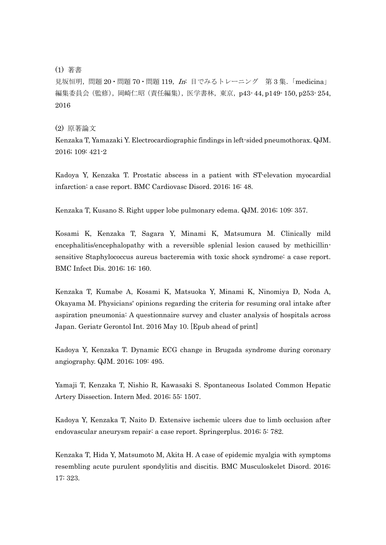## (1) 著書

見坂恒明, 問題 20 · 問題 70 · 問題 119, In: 目でみるトレーニング 第 3 集. 「medicina」 編集委員会 (監修), 岡崎仁昭 (責任編集), 医学書林, 東京, p43-44, p149-150, p253-254, 2016

## (2) 原著論文

Kenzaka T, Yamazaki Y. Electrocardiographic findings in left-sided pneumothorax. QJM. 2016; 109: 421-2

Kadoya Y, Kenzaka T. Prostatic abscess in a patient with ST-elevation myocardial infarction: a case report. BMC Cardiovasc Disord. 2016; 16: 48.

Kenzaka T, Kusano S. Right upper lobe pulmonary edema. QJM. 2016; 109: 357.

Kosami K, Kenzaka T, Sagara Y, Minami K, Matsumura M. Clinically mild encephalitis/encephalopathy with a reversible splenial lesion caused by methicillinsensitive Staphylococcus aureus bacteremia with toxic shock syndrome: a case report. BMC Infect Dis. 2016; 16: 160.

Kenzaka T, Kumabe A, Kosami K, Matsuoka Y, Minami K, Ninomiya D, Noda A, Okayama M. Physicians' opinions regarding the criteria for resuming oral intake after aspiration pneumonia: A questionnaire survey and cluster analysis of hospitals across Japan. Geriatr Gerontol Int. 2016 May 10. [Epub ahead of print]

Kadoya Y, Kenzaka T. Dynamic ECG change in Brugada syndrome during coronary angiography. QJM. 2016; 109: 495.

Yamaji T, Kenzaka T, Nishio R, Kawasaki S. Spontaneous Isolated Common Hepatic Artery Dissection. Intern Med. 2016; 55: 1507.

Kadoya Y, Kenzaka T, Naito D. Extensive ischemic ulcers due to limb occlusion after endovascular aneurysm repair: a case report. Springerplus. 2016; 5: 782.

Kenzaka T, Hida Y, Matsumoto M, Akita H. A case of epidemic myalgia with symptoms resembling acute purulent spondylitis and discitis. BMC Musculoskelet Disord. 2016; 17: 323.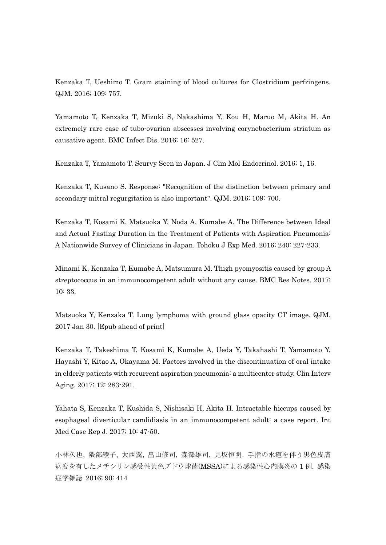Kenzaka T, Ueshimo T. Gram staining of blood cultures for Clostridium perfringens. QJM. 2016; 109: 757.

Yamamoto T, Kenzaka T, Mizuki S, Nakashima Y, Kou H, Maruo M, Akita H. An extremely rare case of tubo-ovarian abscesses involving corynebacterium striatum as causative agent. BMC Infect Dis. 2016; 16: 527.

Kenzaka T, Yamamoto T. Scurvy Seen in Japan. J Clin Mol Endocrinol. 2016; 1, 16.

Kenzaka T, Kusano S. Response: "Recognition of the distinction between primary and secondary mitral regurgitation is also important". QJM. 2016; 109: 700.

Kenzaka T, Kosami K, Matsuoka Y, Noda A, Kumabe A. The Difference between Ideal and Actual Fasting Duration in the Treatment of Patients with Aspiration Pneumonia: A Nationwide Survey of Clinicians in Japan. Tohoku J Exp Med. 2016; 240: 227-233.

Minami K, Kenzaka T, Kumabe A, Matsumura M. Thigh pyomyositis caused by group A streptococcus in an immunocompetent adult without any cause. BMC Res Notes. 2017; 10: 33.

Matsuoka Y, Kenzaka T. Lung lymphoma with ground glass opacity CT image. QJM. 2017 Jan 30. [Epub ahead of print]

Kenzaka T, Takeshima T, Kosami K, Kumabe A, Ueda Y, Takahashi T, Yamamoto Y, Hayashi Y, Kitao A, Okayama M. Factors involved in the discontinuation of oral intake in elderly patients with recurrent aspiration pneumonia: a multicenter study. Clin Interv Aging. 2017; 12: 283-291.

Yahata S, Kenzaka T, Kushida S, Nishisaki H, Akita H. Intractable hiccups caused by esophageal diverticular candidiasis in an immunocompetent adult: a case report. Int Med Case Rep J. 2017; 10: 47-50.

小林久也, 隈部綾子, 大西翼, 畠山修司, 森澤雄司, 見坂恒明. 手指の水疱を伴う黒色皮膚 病変を有したメチシリン感受性黄色ブドウ球菌(MSSA)による感染性心内膜炎の 1 例. 感染 症学雑誌 2016; 90: 414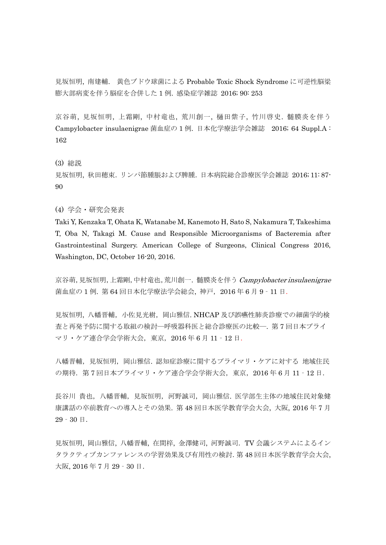見坂恒明, 南建輔. 黄色ブドウ球菌による Probable Toxic Shock Syndrome に可逆性脳梁 膨大部病変を伴う脳症を合併した 1 例. 感染症学雑誌 2016; 90: 253

京谷萌, 見坂恒明, 上霜剛, 中村竜也, 荒川創一, 樋田紫子, 竹川啓史. 髄膜炎を伴う Campylobacter insulaenigrae 菌血症の 1 例. 日本化学療法学会雑誌 2016; 64 Suppl.A : 162

(3) 総説

見坂恒明, 秋田穂束.リンパ節腫脹および脾腫.日本病院総合診療医学会雑誌 2016; 11: 87- 90

## (4) 学会・研究会発表

Taki Y, Kenzaka T, Ohata K, Watanabe M, Kanemoto H, Sato S, Nakamura T, Takeshima T, Oba N, Takagi M. Cause and Responsible Microorganisms of Bacteremia after Gastrointestinal Surgery. American College of Surgeons, Clinical Congress 2016, Washington, DC, October 16-20, 2016.

京谷萌,見坂恒明,上霜剛,中村竜也,荒川創一. 髄膜炎を伴う Campylobacter insulaenigrae 菌血症の 1 例. 第 64 回日本化学療法学会総会, 神戸,2016 年 6 月 9‐11 日.

見坂恒明, 八幡晋輔, 小佐見光樹, 岡山雅信. NHCAP 及び誤嚥性肺炎診療での細菌学的検 査と再発予防に関する取組の検討―呼吸器科医と総合診療医の比較―. 第 7 回日本プライ マリ・ケア連合学会学術大会,東京,2016 年 6 月 11‐12 日.

八幡晋輔, 見坂恒明, 岡山雅信. 認知症診療に関するプライマリ・ケアに対する 地域住民 の期待.第 7 回日本プライマリ・ケア連合学会学術大会,東京,2016 年 6 月 11‐12 日.

長谷川 貴也,八幡晋輔,見坂恒明,河野誠司,岡山雅信. 医学部生主体の地域住民対象健 康講話の卒前教育への導入とその効果. 第 48 回日本医学教育学会大会, 大阪, 2016 年 7 月 29‐30 日.

見坂恒明, 岡山雅信, 八幡晋輔, 在間梓, 金澤健司, 河野誠司.TV 会議システムによるイン タラクティブカンファレンスの学習効果及び有用性の検討.第 48 回日本医学教育学会大会, 大阪, 2016 年 7 月 29‐30 日.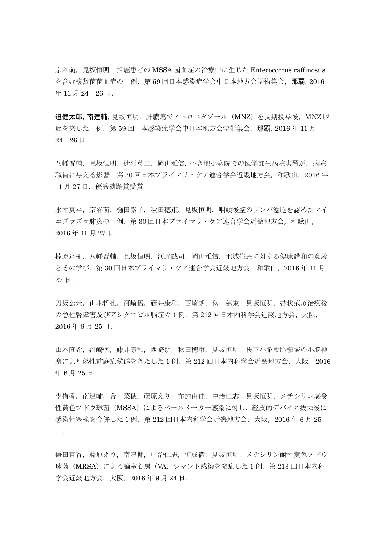京谷萌, 見坂恒明. 担癌患者の MSSA 菌血症の治療中に生じた Enterococcus raffinosus を含む複数菌菌血症の1例. 第59回日本感染症学会中日本地方会学術集会,那覇, 2016 年 11 月 24‐26 日.

迫健太郎,南建輔,見坂恒明.肝膿瘍でメトロニダゾール(MNZ)を長期投与後,MNZ 脳 症を来した一例.第 59 回日本感染症学会中日本地方会学術集会,那覇,2016 年 11 月  $24 - 26$   $\Box$ .

八幡晋輔,見坂恒明,辻村英二,岡山雅信. へき地小病院での医学部生病院実習が,病院 職員に与える影響. 第30回日本プライマリ・ケア連合学会近畿地方会,和歌山, 2016年 11 月 27 日.優秀演題賞受賞

水木真平,京谷萌,樋田紫子,秋田穂束,見坂恒明.咽頭後壁のリンパ濾胞を認めたマイ コプラズマ肺炎の一例. 第 30 回日本プライマリ・ケア連合学会近畿地方会, 和歌山, 2016 年 11 月 27 日.

楠原達樹,八幡晋輔,見坂恒明,河野誠司,岡山雅信.地域住民に対する健康講和の意義 とその学び.第 30 回日本プライマリ・ケア連合学会近畿地方会,和歌山,2016 年 11 月 27 日.

刀坂公崇,山本哲也,河崎悟,藤井康和,西崎朗,秋田穂束,見坂恒明.帯状疱疹治療後 の急性腎障害及びアシクロビル脳症の1例. 第212回日本内科学会近畿地方会,大阪, 2016 年 6 月 25 日.

山本直希,河崎悟,藤井康和,西崎朗,秋田穂束,見坂恒明.後下小脳動脈領域の小脳梗 塞により偽性前庭症候群をきたした 1 例.第 212 回日本内科学会近畿地方会,大阪,2016 年 6 月 25 日.

李侑香,南建輔,合田菜穂,藤原えり,布施由佳,中治仁志,見坂恒明.メチシリン感受 性黄色ブドウ球菌 (MSSA)によるペースメーカー感染に対し、経皮的デバイス抜去後に 感染性塞栓を合併した1例. 第212回日本内科学会近畿地方会,大阪,2016年6月25 日.

鎌田百香,藤原えり,南建輔,中治仁志,恒成徹,見坂恒明.メチシリン耐性黄色ブドウ 球菌(MRSA)による脳室心房(VA)シャント感染を発症した 1例. 第 213 回日本内科 学会近畿地方会,大阪,2016 年 9 月 24 日.